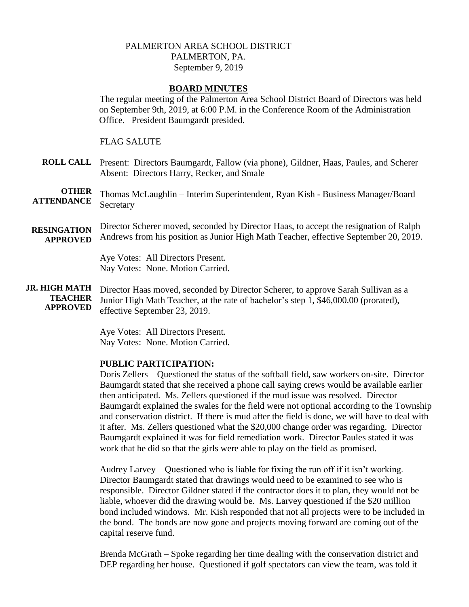# PALMERTON AREA SCHOOL DISTRICT PALMERTON, PA. September 9, 2019

## **BOARD MINUTES**

The regular meeting of the Palmerton Area School District Board of Directors was held on September 9th, 2019, at 6:00 P.M. in the Conference Room of the Administration Office. President Baumgardt presided.

### FLAG SALUTE

**ROLL CALL** Present: Directors Baumgardt, Fallow (via phone), Gildner, Haas, Paules, and Scherer Absent: Directors Harry, Recker, and Smale

**OTHER ATTENDANCE** Thomas McLaughlin – Interim Superintendent, Ryan Kish - Business Manager/Board Secretary

**RESINGATION APPROVED** Director Scherer moved, seconded by Director Haas, to accept the resignation of Ralph Andrews from his position as Junior High Math Teacher, effective September 20, 2019.

> Aye Votes: All Directors Present. Nay Votes: None. Motion Carried.

**JR. HIGH MATH TEACHER APPROVED** Director Haas moved, seconded by Director Scherer, to approve Sarah Sullivan as a Junior High Math Teacher, at the rate of bachelor's step 1, \$46,000.00 (prorated), effective September 23, 2019.

> Aye Votes: All Directors Present. Nay Votes: None. Motion Carried.

## **PUBLIC PARTICIPATION:**

Doris Zellers – Questioned the status of the softball field, saw workers on-site. Director Baumgardt stated that she received a phone call saying crews would be available earlier then anticipated. Ms. Zellers questioned if the mud issue was resolved. Director Baumgardt explained the swales for the field were not optional according to the Township and conservation district. If there is mud after the field is done, we will have to deal with it after. Ms. Zellers questioned what the \$20,000 change order was regarding. Director Baumgardt explained it was for field remediation work. Director Paules stated it was work that he did so that the girls were able to play on the field as promised.

Audrey Larvey – Questioned who is liable for fixing the run off if it isn't working. Director Baumgardt stated that drawings would need to be examined to see who is responsible. Director Gildner stated if the contractor does it to plan, they would not be liable, whoever did the drawing would be. Ms. Larvey questioned if the \$20 million bond included windows. Mr. Kish responded that not all projects were to be included in the bond. The bonds are now gone and projects moving forward are coming out of the capital reserve fund.

Brenda McGrath – Spoke regarding her time dealing with the conservation district and DEP regarding her house. Questioned if golf spectators can view the team, was told it